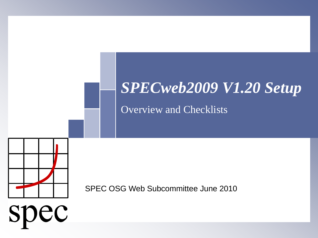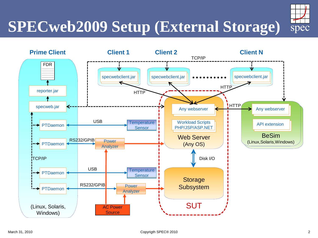## **SPECweb2009 Setup (External Storage)**



**SUT** 

March 31, 2010 **Copyrigth SPEC® 2010** Copyrigth SPEC® 2010

(Linux, Solaris, Windows)

specweb.jar

PTDaemon

←

**→ PTDaemon** 

**TCP/IP** 

PTDaemon

PTDaemon

reporter.jar

FDR  $\sim$  $\mathcal{L}$  $\mathcal{L}$ 

AC Power **Source** 

Analyzer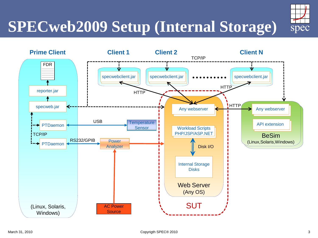# **SPECweb2009 Setup (Internal Storage)**



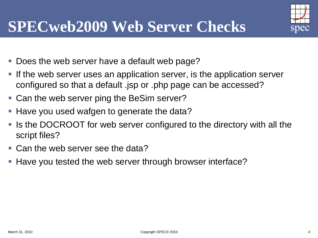### **SPECweb2009 Web Server Checks**

- Does the web server have a default web page?
- If the web server uses an application server, is the application server configured so that a default .jsp or .php page can be accessed?
- Can the web server ping the BeSim server?
- Have you used wafgen to generate the data?
- Is the DOCROOT for web server configured to the directory with all the script files?
- Can the web server see the data?
- Have you tested the web server through browser interface?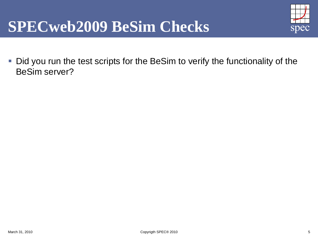#### **SPECweb2009 BeSim Checks**



 Did you run the test scripts for the BeSim to verify the functionality of the BeSim server?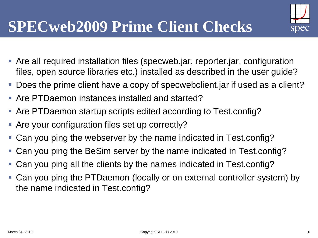- Are all required installation files (specweb.jar, reporter.jar, configuration files, open source libraries etc.) installed as described in the user guide?
- Does the prime client have a copy of specwebclient.jar if used as a client?
- Are PTDaemon instances installed and started?
- Are PTDaemon startup scripts edited according to Test.config?
- Are your configuration files set up correctly?
- Can you ping the webserver by the name indicated in Test.config?
- Can you ping the BeSim server by the name indicated in Test.config?
- Can you ping all the clients by the names indicated in Test.config?
- Can you ping the PTDaemon (locally or on external controller system) by the name indicated in Test.config?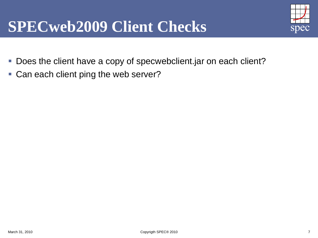#### **SPECweb2009 Client Checks**

- Does the client have a copy of specwebclient.jar on each client?
- **Can each client ping the web server?**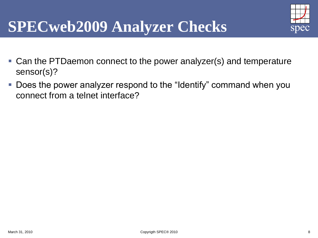### **SPECweb2009 Analyzer Checks**

- Can the PTDaemon connect to the power analyzer(s) and temperature sensor(s)?
- Does the power analyzer respond to the "Identify" command when you connect from a telnet interface?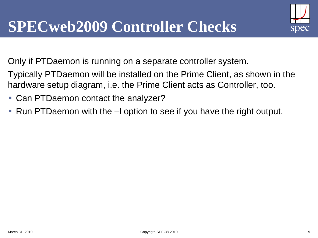

Only if PTDaemon is running on a separate controller system.

Typically PTDaemon will be installed on the Prime Client, as shown in the hardware setup diagram, i.e. the Prime Client acts as Controller, too.

- Can PTDaemon contact the analyzer?
- Run PTDaemon with the –l option to see if you have the right output.